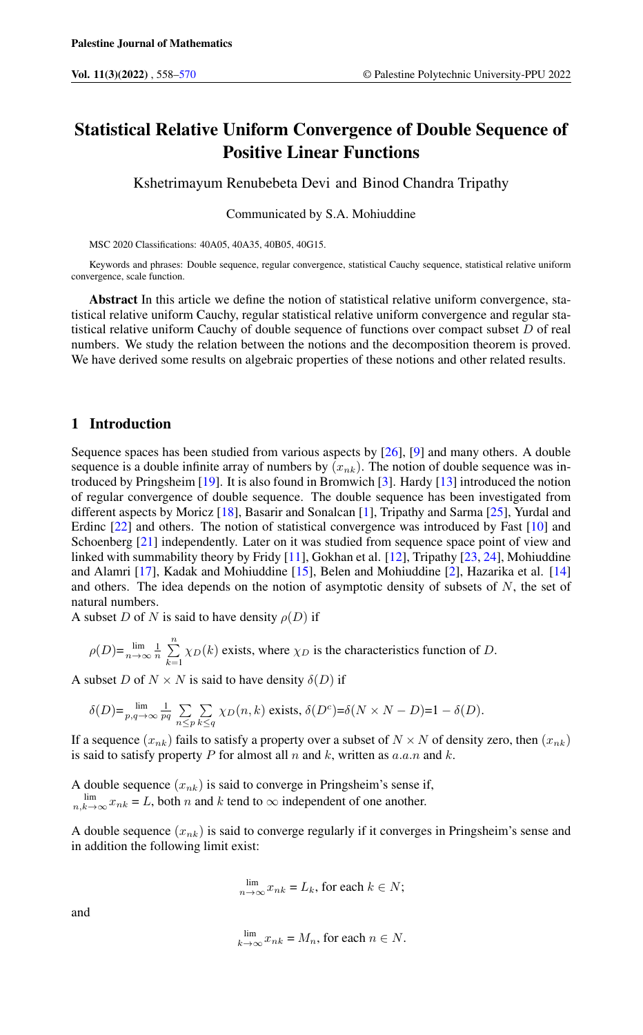# Statistical Relative Uniform Convergence of Double Sequence of Positive Linear Functions

Kshetrimayum Renubebeta Devi and Binod Chandra Tripathy

Communicated by S.A. Mohiuddine

MSC 2020 Classifications: 40A05, 40A35, 40B05, 40G15.

Keywords and phrases: Double sequence, regular convergence, statistical Cauchy sequence, statistical relative uniform convergence, scale function.

Abstract In this article we define the notion of statistical relative uniform convergence, statistical relative uniform Cauchy, regular statistical relative uniform convergence and regular statistical relative uniform Cauchy of double sequence of functions over compact subset  $D$  of real numbers. We study the relation between the notions and the decomposition theorem is proved. We have derived some results on algebraic properties of these notions and other related results.

### 1 Introduction

Sequence spaces has been studied from various aspects by [\[26\]](#page-11-1), [\[9\]](#page-11-2) and many others. A double sequence is a double infinite array of numbers by  $(x_{nk})$ . The notion of double sequence was introduced by Pringsheim [\[19\]](#page-11-3). It is also found in Bromwich [\[3\]](#page-11-4). Hardy [\[13\]](#page-11-5) introduced the notion of regular convergence of double sequence. The double sequence has been investigated from different aspects by Moricz [\[18\]](#page-11-6), Basarir and Sonalcan [\[1\]](#page-11-7), Tripathy and Sarma [\[25\]](#page-11-8), Yurdal and Erdinc [\[22\]](#page-11-9) and others. The notion of statistical convergence was introduced by Fast [\[10\]](#page-11-10) and Schoenberg [\[21\]](#page-11-11) independently. Later on it was studied from sequence space point of view and linked with summability theory by Fridy [\[11\]](#page-11-12), Gokhan et al. [\[12\]](#page-11-13), Tripathy [\[23,](#page-11-14) [24\]](#page-11-15), Mohiuddine and Alamri [\[17\]](#page-11-16), Kadak and Mohiuddine [\[15\]](#page-11-17), Belen and Mohiuddine [\[2\]](#page-11-18), Hazarika et al. [\[14\]](#page-11-19) and others. The idea depends on the notion of asymptotic density of subsets of  $N$ , the set of natural numbers.

A subset D of N is said to have density  $\rho(D)$  if

$$
\rho(D) = \lim_{n \to \infty} \frac{1}{n} \sum_{k=1}^{n} \chi_D(k)
$$
 exists, where  $\chi_D$  is the characteristics function of *D*.

A subset D of  $N \times N$  is said to have density  $\delta(D)$  if

$$
\delta(D) = \lim_{p,q \to \infty} \frac{1}{pq} \sum_{n \le p} \sum_{k \le q} \chi_D(n,k) \text{ exists, } \delta(D^c) = \delta(N \times N - D) = 1 - \delta(D).
$$

If a sequence  $(x_{nk})$  fails to satisfy a property over a subset of  $N \times N$  of density zero, then  $(x_{nk})$ is said to satisfy property  $P$  for almost all  $n$  and  $k$ , written as  $a.a.n$  and  $k$ .

A double sequence  $(x_{nk})$  is said to converge in Pringsheim's sense if,  $\lim_{n,k\to\infty} x_{nk} = L$ , both n and k tend to  $\infty$  independent of one another.

A double sequence  $(x_{nk})$  is said to converge regularly if it converges in Pringsheim's sense and in addition the following limit exist:

$$
\lim_{n \to \infty} x_{nk} = L_k
$$
, for each  $k \in N$ ;

and

$$
\lim_{k \to \infty} x_{nk} = M_n
$$
, for each  $n \in N$ .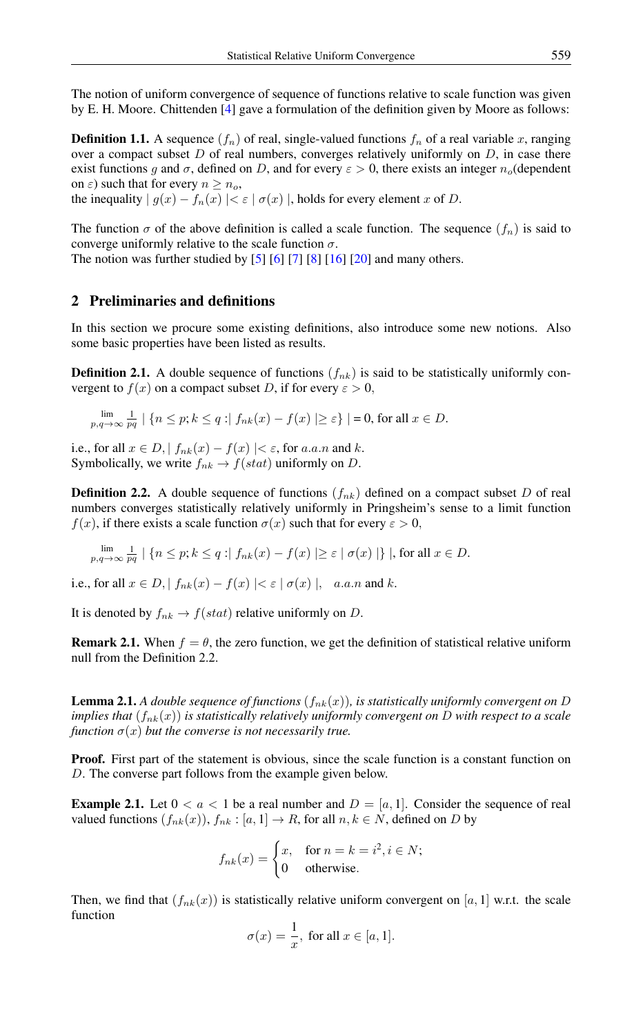The notion of uniform convergence of sequence of functions relative to scale function was given by E. H. Moore. Chittenden [\[4\]](#page-11-20) gave a formulation of the definition given by Moore as follows:

**Definition 1.1.** A sequence  $(f_n)$  of real, single-valued functions  $f_n$  of a real variable x, ranging over a compact subset  $D$  of real numbers, converges relatively uniformly on  $D$ , in case there exist functions g and  $\sigma$ , defined on D, and for every  $\varepsilon > 0$ , there exists an integer  $n_o$  (dependent on  $\varepsilon$ ) such that for every  $n \geq n_o$ ,

the inequality  $| g(x) - f_n(x) | < \varepsilon | \sigma(x) |$ , holds for every element x of D.

The function  $\sigma$  of the above definition is called a scale function. The sequence  $(f_n)$  is said to converge uniformly relative to the scale function  $\sigma$ .

The notion was further studied by [\[5\]](#page-11-21) [\[6\]](#page-11-22) [\[7\]](#page-11-23) [\[8\]](#page-11-24) [\[16\]](#page-11-25) [\[20\]](#page-11-26) and many others.

## 2 Preliminaries and definitions

In this section we procure some existing definitions, also introduce some new notions. Also some basic properties have been listed as results.

**Definition 2.1.** A double sequence of functions  $(f_{nk})$  is said to be statistically uniformly convergent to  $f(x)$  on a compact subset D, if for every  $\varepsilon > 0$ ,

 $\lim_{p,q\to\infty} \frac{1}{pq} | \{ n \leq p ; k \leq q : | f_{nk}(x) - f(x) | \geq \varepsilon \} | = 0$ , for all  $x \in D$ .

i.e., for all  $x \in D$ ,  $|f_{nk}(x) - f(x)| < \varepsilon$ , for a.a.n and k. Symbolically, we write  $f_{nk} \rightarrow f(stat)$  uniformly on D.

**Definition 2.2.** A double sequence of functions  $(f_{nk})$  defined on a compact subset D of real numbers converges statistically relatively uniformly in Pringsheim's sense to a limit function  $f(x)$ , if there exists a scale function  $\sigma(x)$  such that for every  $\varepsilon > 0$ ,

$$
\lim_{p,q\to\infty}\frac{1}{pq}\mid\{n\leq p; k\leq q\mid f_{nk}(x)-f(x)\mid\geq \varepsilon\mid\sigma(x)\mid\}\mid, \text{for all }x\in D.
$$

i.e., for all  $x \in D$ ,  $|f_{nk}(x) - f(x)| < \varepsilon | \sigma(x) |$ , a.a.n and k.

It is denoted by  $f_{nk} \to f(stat)$  relative uniformly on D.

**Remark 2.1.** When  $f = \theta$ , the zero function, we get the definition of statistical relative uniform null from the Definition 2.2.

**Lemma 2.1.** A double sequence of functions  $(f_{nk}(x))$ , is statistically uniformly convergent on D *implies that*  $(f_{nk}(x))$  *is statistically relatively uniformly convergent on* D *with respect to a scale function*  $\sigma(x)$  *but the converse is not necessarily true.* 

**Proof.** First part of the statement is obvious, since the scale function is a constant function on D. The converse part follows from the example given below.

**Example 2.1.** Let  $0 < a < 1$  be a real number and  $D = [a, 1]$ . Consider the sequence of real valued functions  $(f_{nk}(x)), f_{nk}: [a, 1] \to R$ , for all  $n, k \in N$ , defined on D by

$$
f_{nk}(x) = \begin{cases} x, & \text{for } n = k = i^2, i \in N; \\ 0 & \text{otherwise.} \end{cases}
$$

Then, we find that  $(f_{nk}(x))$  is statistically relative uniform convergent on [a, 1] w.r.t. the scale function

$$
\sigma(x) = \frac{1}{x}, \text{ for all } x \in [a, 1].
$$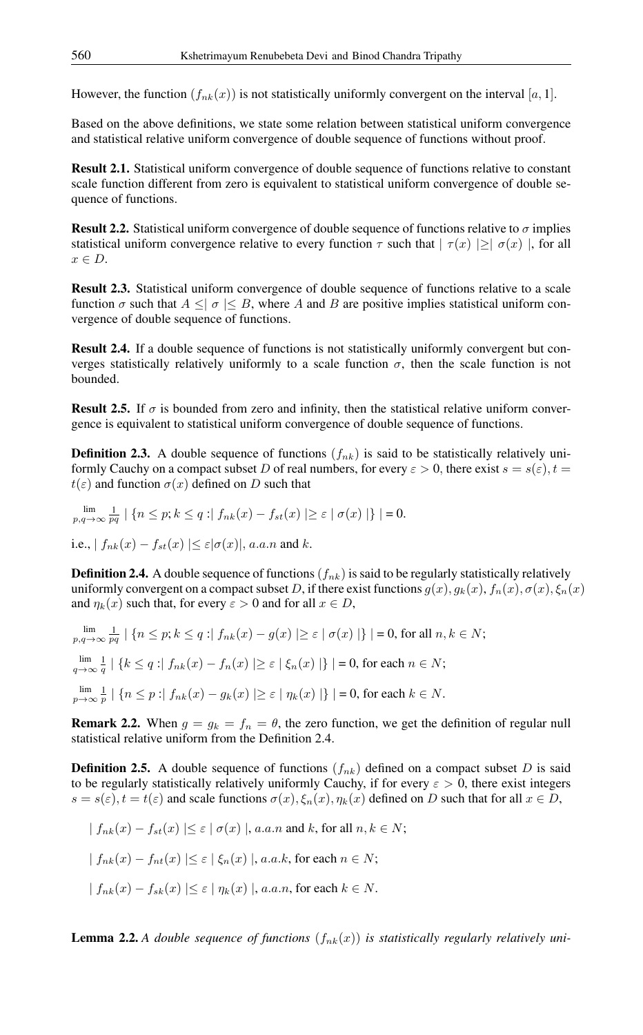However, the function  $(f_{nk}(x))$  is not statistically uniformly convergent on the interval [a, 1].

Based on the above definitions, we state some relation between statistical uniform convergence and statistical relative uniform convergence of double sequence of functions without proof.

Result 2.1. Statistical uniform convergence of double sequence of functions relative to constant scale function different from zero is equivalent to statistical uniform convergence of double sequence of functions.

**Result 2.2.** Statistical uniform convergence of double sequence of functions relative to  $\sigma$  implies statistical uniform convergence relative to every function  $\tau$  such that  $|\tau(x)| \geq |\sigma(x)|$ , for all  $x \in D$ .

Result 2.3. Statistical uniform convergence of double sequence of functions relative to a scale function  $\sigma$  such that  $A \leq \vert \sigma \vert \leq B$ , where A and B are positive implies statistical uniform convergence of double sequence of functions.

Result 2.4. If a double sequence of functions is not statistically uniformly convergent but converges statistically relatively uniformly to a scale function  $\sigma$ , then the scale function is not bounded.

**Result 2.5.** If  $\sigma$  is bounded from zero and infinity, then the statistical relative uniform convergence is equivalent to statistical uniform convergence of double sequence of functions.

**Definition 2.3.** A double sequence of functions  $(f_{nk})$  is said to be statistically relatively uniformly Cauchy on a compact subset D of real numbers, for every  $\varepsilon > 0$ , there exist  $s = s(\varepsilon)$ ,  $t =$  $t(\varepsilon)$  and function  $\sigma(x)$  defined on D such that

$$
\lim_{p,q \to \infty} \frac{1}{pq} | \{ n \le p; k \le q : | f_{nk}(x) - f_{st}(x) | \ge \varepsilon | \sigma(x) | \} | = 0.
$$
  
i.e., 
$$
| f_{nk}(x) - f_{st}(x) | \le \varepsilon | \sigma(x) |, a.a.n \text{ and } k.
$$

**Definition 2.4.** A double sequence of functions  $(f_{nk})$  is said to be regularly statistically relatively uniformly convergent on a compact subset D, if there exist functions  $g(x)$ ,  $g_k(x)$ ,  $f_n(x)$ ,  $\sigma(x)$ ,  $\xi_n(x)$ and  $\eta_k(x)$  such that, for every  $\varepsilon > 0$  and for all  $x \in D$ ,

$$
\lim_{p,q \to \infty} \frac{1}{pq} \mid \{n \le p; k \le q : |f_{nk}(x) - g(x)| \ge \varepsilon \mid \sigma(x) \mid\} \mid = 0, \text{ for all } n, k \in N;
$$
\n
$$
\lim_{q \to \infty} \frac{1}{q} \mid \{k \le q : |f_{nk}(x) - f_n(x)| \ge \varepsilon \mid \xi_n(x) \mid\} \mid = 0, \text{ for each } n \in N;
$$
\n
$$
\lim_{p \to \infty} \frac{1}{p} \mid \{n \le p : |f_{nk}(x) - g_k(x)| \ge \varepsilon \mid \eta_k(x) \mid\} \mid = 0, \text{ for each } k \in N.
$$

**Remark 2.2.** When  $g = g_k = f_n = \theta$ , the zero function, we get the definition of regular null statistical relative uniform from the Definition 2.4.

**Definition 2.5.** A double sequence of functions  $(f_{nk})$  defined on a compact subset D is said to be regularly statistically relatively uniformly Cauchy, if for every  $\varepsilon > 0$ , there exist integers  $s = s(\varepsilon)$ ,  $t = t(\varepsilon)$  and scale functions  $\sigma(x)$ ,  $\xi_n(x)$ ,  $\eta_k(x)$  defined on D such that for all  $x \in D$ ,

$$
| f_{nk}(x) - f_{st}(x) | \le \varepsilon | \sigma(x) |, a.a.n \text{ and } k \text{, for all } n, k \in N;
$$
  

$$
| f_{nk}(x) - f_{nt}(x) | \le \varepsilon | \xi_n(x) |, a.a.k, \text{ for each } n \in N;
$$
  

$$
| f_{nk}(x) - f_{sk}(x) | \le \varepsilon | \eta_k(x) |, a.a.n, \text{ for each } k \in N.
$$

**Lemma 2.2.** A double sequence of functions  $(f_{nk}(x))$  is statistically regularly relatively uni-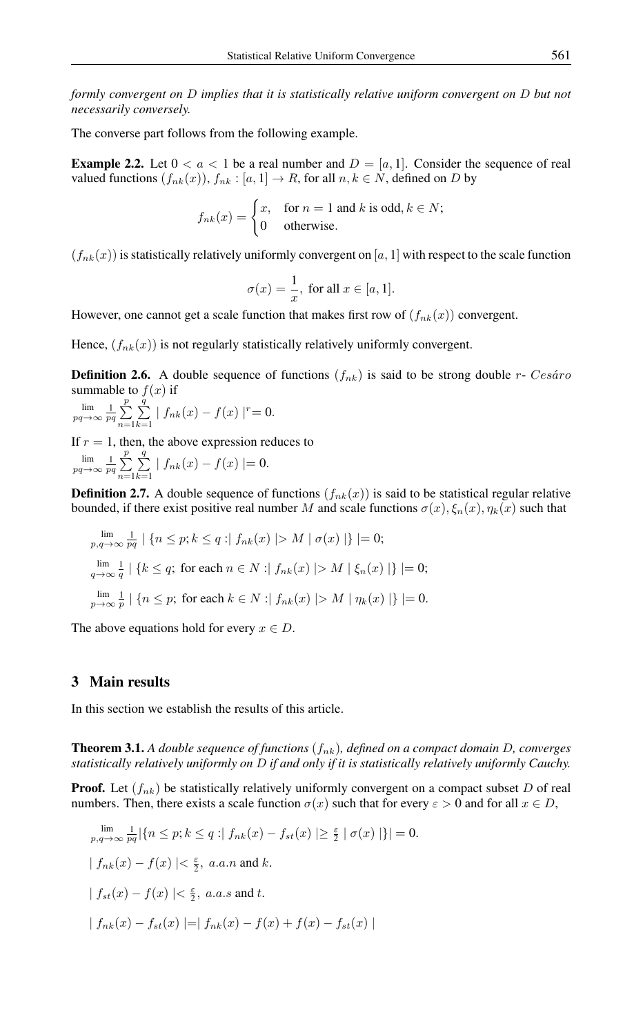*formly convergent on* D *implies that it is statistically relative uniform convergent on* D *but not necessarily conversely.*

The converse part follows from the following example.

**Example 2.2.** Let  $0 < a < 1$  be a real number and  $D = [a, 1]$ . Consider the sequence of real valued functions  $(f_{nk}(x)), f_{nk} : [a, 1] \to R$ , for all  $n, k \in N$ , defined on D by

$$
f_{nk}(x) = \begin{cases} x, & \text{for } n = 1 \text{ and } k \text{ is odd, } k \in N; \\ 0 & \text{otherwise.} \end{cases}
$$

 $(f_{nk}(x))$  is statistically relatively uniformly convergent on [a, 1] with respect to the scale function

$$
\sigma(x) = \frac{1}{x}, \text{ for all } x \in [a, 1].
$$

However, one cannot get a scale function that makes first row of  $(f_{nk}(x))$  convergent.

Hence,  $(f_{nk}(x))$  is not regularly statistically relatively uniformly convergent.

**Definition 2.6.** A double sequence of functions  $(f_{nk})$  is said to be strong double r- Cesaro summable to  $f(x)$  if

 $\lim_{pq \to \infty} \frac{1}{pq} \sum_{n=1}^{p}$  $n=1$  $\sum_{i=1}^{q}$  $\sum_{k=1}^{\infty} | f_{nk}(x) - f(x) |^{r} = 0.$ 

If  $r = 1$ , then, the above expression reduces to  $\lim_{pq \to \infty} \frac{1}{pq} \sum_{n=1}^{p}$  $n=1$  $\sum_{i=1}^{q}$  $\sum_{k=1} | f_{nk}(x) - f(x) | = 0.$ 

**Definition 2.7.** A double sequence of functions  $(f_{nk}(x))$  is said to be statistical regular relative bounded, if there exist positive real number M and scale functions  $\sigma(x)$ ,  $\xi_n(x)$ ,  $\eta_k(x)$  such that

$$
\lim_{p,q \to \infty} \frac{1}{pq} \mid \{n \le p; k \le q : \mid f_{nk}(x) \mid > M \mid \sigma(x) \mid\} \mid = 0;
$$
\n
$$
\lim_{q \to \infty} \frac{1}{q} \mid \{k \le q; \text{ for each } n \in N : \mid f_{nk}(x) \mid > M \mid \xi_n(x) \mid\} \mid = 0;
$$
\n
$$
\lim_{p \to \infty} \frac{1}{p} \mid \{n \le p; \text{ for each } k \in N : \mid f_{nk}(x) \mid > M \mid \eta_k(x) \mid\} \mid = 0.
$$

The above equations hold for every  $x \in D$ .

## 3 Main results

In this section we establish the results of this article.

**Theorem 3.1.** A double sequence of functions  $(f_{nk})$ , defined on a compact domain D, converges *statistically relatively uniformly on* D *if and only if it is statistically relatively uniformly Cauchy.*

**Proof.** Let  $(f_{nk})$  be statistically relatively uniformly convergent on a compact subset D of real numbers. Then, there exists a scale function  $\sigma(x)$  such that for every  $\varepsilon > 0$  and for all  $x \in D$ ,

$$
\lim_{p,q \to \infty} \frac{1}{pq} |\{n \le p; k \le q : | f_{nk}(x) - f_{st}(x) | \ge \frac{\varepsilon}{2} | \sigma(x) | \}| = 0.
$$
\n
$$
| f_{nk}(x) - f(x) | < \frac{\varepsilon}{2}, \text{ a.a.n and } k.
$$
\n
$$
| f_{st}(x) - f(x) | < \frac{\varepsilon}{2}, \text{ a.a.s and } t.
$$
\n
$$
| f_{nk}(x) - f_{st}(x) | = | f_{nk}(x) - f(x) + f(x) - f_{st}(x) |
$$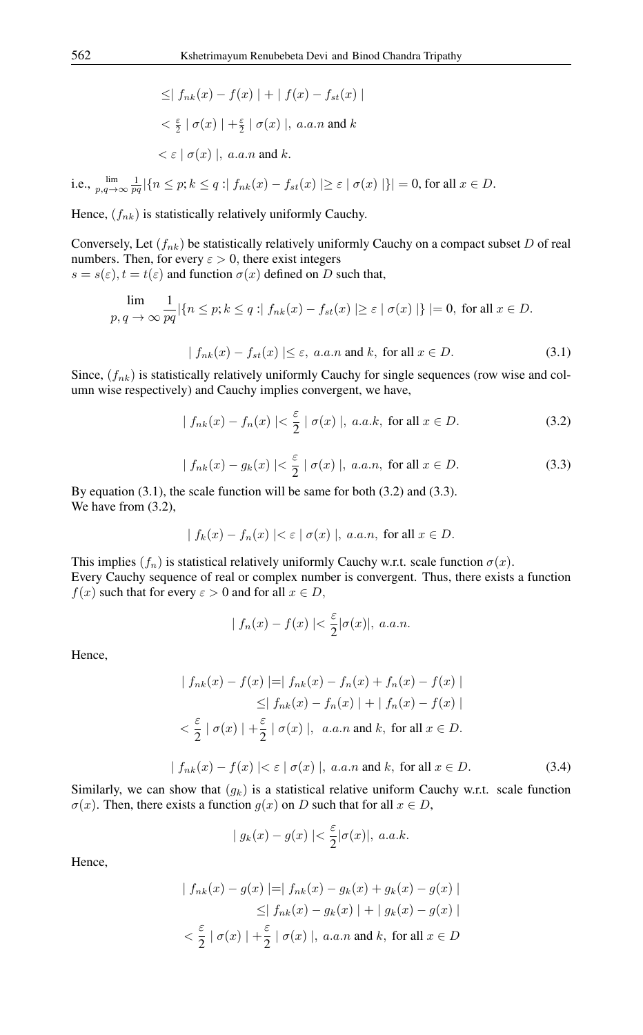$$
\leq | f_{nk}(x) - f(x) | + | f(x) - f_{st}(x) |
$$
  

$$
< \frac{\varepsilon}{2} | \sigma(x) | + \frac{\varepsilon}{2} | \sigma(x) |, a.a.n \text{ and } k
$$
  

$$
< \varepsilon | \sigma(x) |, a.a.n \text{ and } k.
$$

i.e.,  $\lim_{p,q \to \infty} \frac{1}{pq} |\{n \leq p; k \leq q : |f_{nk}(x) - f_{st}(x)| \geq \varepsilon \mid \sigma(x) | \}| = 0$ , for all  $x \in D$ .

Hence,  $(f_{nk})$  is statistically relatively uniformly Cauchy.

Conversely, Let  $(f_{nk})$  be statistically relatively uniformly Cauchy on a compact subset D of real numbers. Then, for every  $\varepsilon > 0$ , there exist integers

 $s = s(\varepsilon)$ ,  $t = t(\varepsilon)$  and function  $\sigma(x)$  defined on D such that,

$$
\lim_{p,\,q\,\to\,\infty}\frac{1}{pq}|\{n\leq p; k\leq q\,:\mid f_{nk}(x)-f_{st}(x)\mid\geq \varepsilon\mid\sigma(x)\mid\}|=0,\text{ for all }x\in D.
$$

$$
|f_{nk}(x) - f_{st}(x)| \le \varepsilon, a.a.n \text{ and } k, \text{ for all } x \in D.
$$
 (3.1)

Since,  $(f_{nk})$  is statistically relatively uniformly Cauchy for single sequences (row wise and column wise respectively) and Cauchy implies convergent, we have,

$$
|f_{nk}(x) - f_n(x)| < \frac{\varepsilon}{2} \mid \sigma(x) \mid, \ a.a.k, \text{ for all } x \in D. \tag{3.2}
$$

$$
|f_{nk}(x) - g_k(x)| < \frac{\varepsilon}{2} \mid \sigma(x) \mid, \ a.a.n, \text{ for all } x \in D. \tag{3.3}
$$

By equation  $(3.1)$ , the scale function will be same for both  $(3.2)$  and  $(3.3)$ . We have from (3.2),

$$
| f_k(x) - f_n(x) | < \varepsilon | \sigma(x) |, \ a.a.n, \text{ for all } x \in D.
$$

This implies  $(f_n)$  is statistical relatively uniformly Cauchy w.r.t. scale function  $\sigma(x)$ . Every Cauchy sequence of real or complex number is convergent. Thus, there exists a function  $f(x)$  such that for every  $\varepsilon > 0$  and for all  $x \in D$ ,

$$
|f_n(x) - f(x)| < \frac{\varepsilon}{2} |\sigma(x)|, \ a.a.n.
$$

Hence,

$$
| f_{nk}(x) - f(x) | = | f_{nk}(x) - f_n(x) + f_n(x) - f(x) |
$$
  
\n
$$
\leq | f_{nk}(x) - f_n(x) | + | f_n(x) - f(x) |
$$
  
\n
$$
< \frac{\varepsilon}{2} | \sigma(x) | + \frac{\varepsilon}{2} | \sigma(x) |, \quad a.a.n \text{ and } k, \text{ for all } x \in D.
$$

$$
|f_{nk}(x) - f(x)| < \varepsilon \mid \sigma(x) \mid, \ a.a.n \text{ and } k, \text{ for all } x \in D. \tag{3.4}
$$

Similarly, we can show that  $(g_k)$  is a statistical relative uniform Cauchy w.r.t. scale function  $\sigma(x)$ . Then, there exists a function  $g(x)$  on D such that for all  $x \in D$ ,

$$
| g_k(x) - g(x) | < \frac{\varepsilon}{2} |\sigma(x)|, \ a.a.k.
$$

Hence,

$$
| f_{nk}(x) - g(x) | = | f_{nk}(x) - g_k(x) + g_k(x) - g(x) |
$$
  
\n
$$
\leq | f_{nk}(x) - g_k(x) | + | g_k(x) - g(x) |
$$
  
\n
$$
< \frac{\varepsilon}{2} | \sigma(x) | + \frac{\varepsilon}{2} | \sigma(x) |, a.a.n \text{ and } k, \text{ for all } x \in D
$$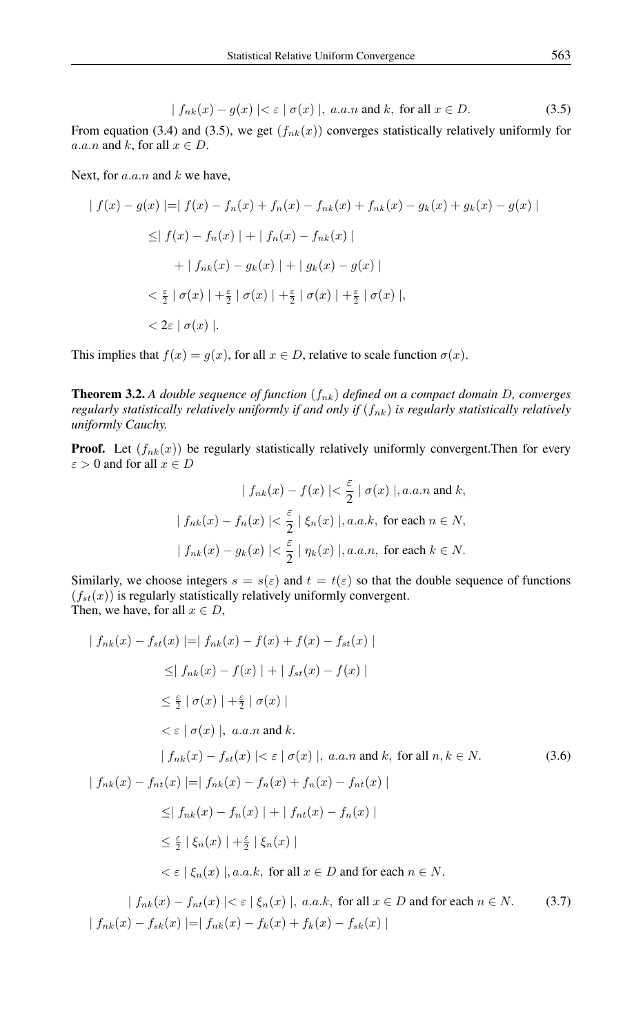$$
|f_{nk}(x) - g(x)| < \varepsilon \mid \sigma(x) \mid, \ a.a.n \text{ and } k, \text{ for all } x \in D. \tag{3.5}
$$

From equation (3.4) and (3.5), we get  $(f_{nk}(x))$  converges statistically relatively uniformly for a.a.n and k, for all  $x \in D$ .

Next, for  $a.a.n$  and  $k$  we have,

$$
| f(x) - g(x) | = | f(x) - f_n(x) + f_n(x) - f_{nk}(x) + f_{nk}(x) - g_k(x) + g_k(x) - g(x) |
$$
  
\n
$$
\leq | f(x) - f_n(x) | + | f_n(x) - f_{nk}(x) |
$$
  
\n
$$
+ | f_{nk}(x) - g_k(x) | + | g_k(x) - g(x) |
$$
  
\n
$$
< \frac{\varepsilon}{2} | \sigma(x) | + \frac{\varepsilon}{2} | \sigma(x) | + \frac{\varepsilon}{2} | \sigma(x) | + \frac{\varepsilon}{2} | \sigma(x) |,
$$
  
\n
$$
< 2\varepsilon | \sigma(x) |.
$$

This implies that  $f(x) = g(x)$ , for all  $x \in D$ , relative to scale function  $\sigma(x)$ .

**Theorem 3.2.** A double sequence of function  $(f_{nk})$  defined on a compact domain D, converges *regularly statistically relatively uniformly if and only if*  $(f_{nk})$  *is regularly statistically relatively uniformly Cauchy.*

**Proof.** Let  $(f_{nk}(x))$  be regularly statistically relatively uniformly convergent. Then for every  $\varepsilon>0$  and for all  $x\in D$ 

$$
| f_{nk}(x) - f(x) | < \frac{\varepsilon}{2} | \sigma(x) |, a.a.n \text{ and } k,
$$
\n
$$
| f_{nk}(x) - f_n(x) | < \frac{\varepsilon}{2} | \xi_n(x) |, a.a.k, \text{ for each } n \in N,
$$
\n
$$
| f_{nk}(x) - g_k(x) | < \frac{\varepsilon}{2} | \eta_k(x) |, a.a.n, \text{ for each } k \in N.
$$

Similarly, we choose integers  $s = s(\varepsilon)$  and  $t = t(\varepsilon)$  so that the double sequence of functions  $(f_{st}(x))$  is regularly statistically relatively uniformly convergent. Then, we have, for all  $x \in D$ ,

$$
|f_{nk}(x) - f_{st}(x)| = |f_{nk}(x) - f(x) + f(x) - f_{st}(x)|
$$
  
\n
$$
\leq |f_{nk}(x) - f(x)| + |f_{st}(x) - f(x)|
$$
  
\n
$$
\leq \frac{\varepsilon}{2} |\sigma(x)| + \frac{\varepsilon}{2} |\sigma(x)|
$$
  
\n
$$
< \varepsilon | \sigma(x) |, a.a.n \text{ and } k.
$$
  
\n
$$
|f_{nk}(x) - f_{st}(x)| < \varepsilon | \sigma(x) |, a.a.n \text{ and } k, \text{ for all } n, k \in N.
$$
  
\n
$$
|f_{nk}(x) - f_{nt}(x)| = |f_{nk}(x) - f_n(x) + f_n(x) - f_{nt}(x)|
$$
  
\n
$$
\leq |f_{nk}(x) - f_n(x)| + |f_{nt}(x) - f_n(x)|
$$
  
\n
$$
\leq \frac{\varepsilon}{2} |\xi_n(x)| + \frac{\varepsilon}{2} |\xi_n(x)|
$$
  
\n
$$
< \varepsilon |f_{nk}(x)|, a.a.k, \text{ for all } x \in D \text{ and for each } n \in N.
$$

 $| f_{nk}(x) - f_{nt}(x) | < \varepsilon | \xi_n(x) |$ , a.a.k, for all  $x \in D$  and for each  $n \in N$ . (3.7) |  $f_{nk}(x) - f_{sk}(x)$  |=|  $f_{nk}(x) - f_k(x) + f_k(x) - f_{sk}(x)$  |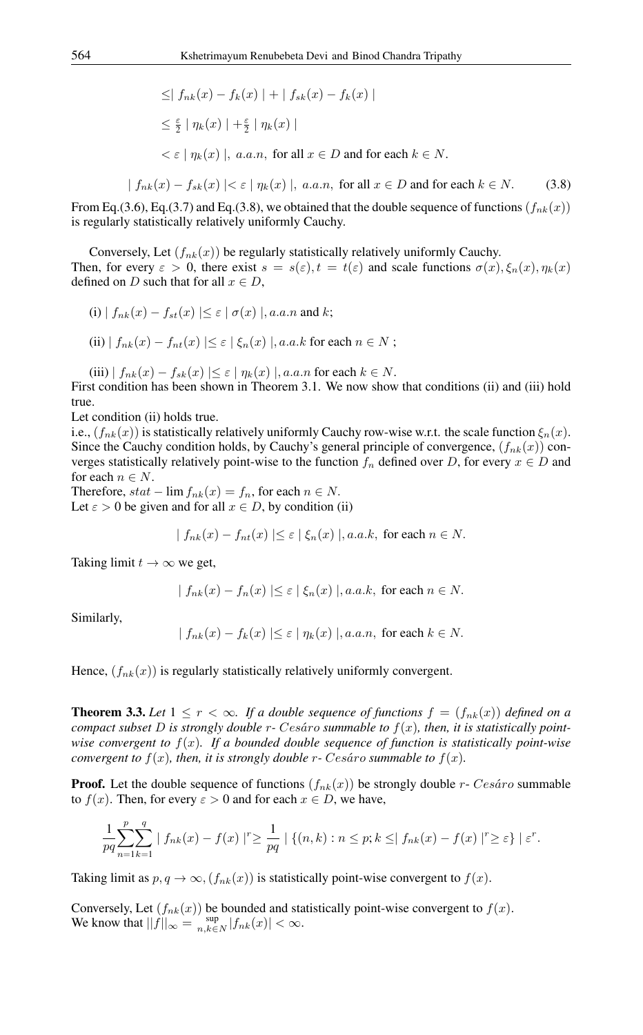$$
\leq | f_{nk}(x) - f_k(x) | + | f_{sk}(x) - f_k(x) |
$$

$$
\leq \frac{\varepsilon}{2} \mid \eta_k(x) \mid + \frac{\varepsilon}{2} \mid \eta_k(x) \mid
$$

 $\langle \varepsilon | \eta_k(x) |, a.a.n,$  for all  $x \in D$  and for each  $k \in N$ .

$$
|f_{nk}(x) - f_{sk}(x)| < \varepsilon \mid \eta_k(x) \mid, \ a.a.n, \text{ for all } x \in D \text{ and for each } k \in N. \tag{3.8}
$$

From Eq.(3.6), Eq.(3.7) and Eq.(3.8), we obtained that the double sequence of functions  $(f_{nk}(x))$ is regularly statistically relatively uniformly Cauchy.

Conversely, Let  $(f_{nk}(x))$  be regularly statistically relatively uniformly Cauchy. Then, for every  $\varepsilon > 0$ , there exist  $s = s(\varepsilon)$ ,  $t = t(\varepsilon)$  and scale functions  $\sigma(x)$ ,  $\xi_n(x)$ ,  $\eta_k(x)$ defined on D such that for all  $x \in D$ ,

(i) 
$$
| f_{nk}(x) - f_{st}(x) | \le \varepsilon | \sigma(x) |
$$
, *a.a.n* and *k*;

(ii) 
$$
| f_{nk}(x) - f_{nt}(x) | \le \varepsilon | \xi_n(x) |
$$
, *a.a.k* for each  $n \in N$ ;

(iii)  $| f_{nk}(x) - f_{sk}(x) | \leq \varepsilon | \eta_k(x) |$ , *a.a.n* for each  $k \in N$ . First condition has been shown in Theorem 3.1. We now show that conditions (ii) and (iii) hold true.

Let condition (ii) holds true.

i.e.,  $(f_{nk}(x))$  is statistically relatively uniformly Cauchy row-wise w.r.t. the scale function  $\xi_n(x)$ . Since the Cauchy condition holds, by Cauchy's general principle of convergence,  $(f_{nk}(x))$  converges statistically relatively point-wise to the function  $f_n$  defined over D, for every  $x \in D$  and for each  $n \in N$ .

Therefore,  $stat - \lim f_{nk}(x) = f_n$ , for each  $n \in N$ . Let  $\varepsilon > 0$  be given and for all  $x \in D$ , by condition (ii)

$$
| f_{nk}(x) - f_{nt}(x) | \le \varepsilon | \xi_n(x) |, a.a.k
$$
, for each  $n \in N$ .

Taking limit  $t \to \infty$  we get,

$$
|f_{nk}(x) - f_n(x)| \le \varepsilon | \xi_n(x) |, a.a.k, \text{ for each } n \in N.
$$

Similarly,

$$
|f_{nk}(x) - f_k(x)| \le \varepsilon | \eta_k(x) |, a.a.n, \text{ for each } k \in N.
$$

Hence,  $(f_{nk}(x))$  is regularly statistically relatively uniformly convergent.

**Theorem 3.3.** Let  $1 \leq r < \infty$ . If a double sequence of functions  $f = (f_{nk}(x))$  defined on a *compact subset* D is strongly double  $r$ - Cesáro summable to  $f(x)$ , then, it is statistically point*wise convergent to* f(x)*. If a bounded double sequence of function is statistically point-wise convergent to*  $f(x)$ *, then, it is strongly double r- Cesaro summable to*  $f(x)$ *.* 

**Proof.** Let the double sequence of functions  $(f_{nk}(x))$  be strongly double r- Cesaro summable to  $f(x)$ . Then, for every  $\varepsilon > 0$  and for each  $x \in D$ , we have,

$$
\frac{1}{pq} \sum_{n=1}^p \sum_{k=1}^q |f_{nk}(x) - f(x)|^r \ge \frac{1}{pq} | \{ (n,k) : n \le p; k \le | f_{nk}(x) - f(x) |^r \ge \varepsilon \} | \varepsilon^r.
$$

Taking limit as  $p, q \rightarrow \infty$ ,  $(f_{nk}(x))$  is statistically point-wise convergent to  $f(x)$ .

Conversely, Let  $(f_{nk}(x))$  be bounded and statistically point-wise convergent to  $f(x)$ . We know that  $||f||_{\infty} = \sup_{n,k \in N} |f_{nk}(x)| < \infty$ .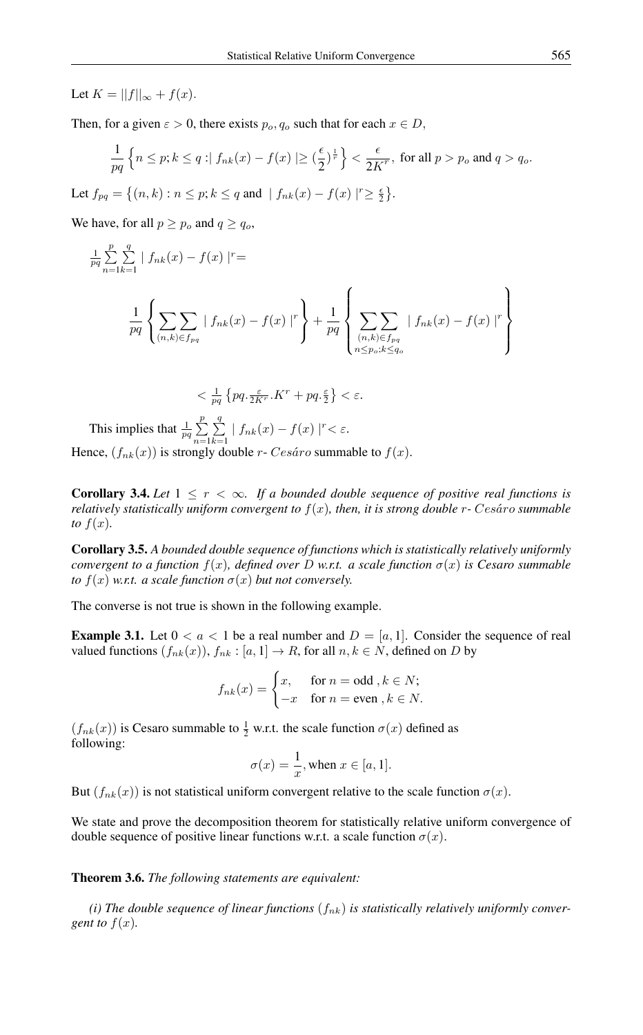Let  $K = ||f||_{\infty} + f(x)$ .

Then, for a given  $\varepsilon > 0$ , there exists  $p_o, q_o$  such that for each  $x \in D$ ,

$$
\frac{1}{pq} \left\{ n \le p; k \le q : | f_{nk}(x) - f(x) | \ge \left(\frac{\epsilon}{2}\right)^{\frac{1}{r}} \right\} < \frac{\epsilon}{2K^r}, \text{ for all } p > p_o \text{ and } q > q_o.
$$
  
Let  $f_{pq} = \left\{ (n, k) : n \le p; k \le q \text{ and } | f_{nk}(x) - f(x) | \ge \frac{\epsilon}{2} \right\}.$ 

We have, for all  $p \ge p_o$  and  $q \ge q_o$ ,

$$
\frac{1}{pq} \sum_{n=1}^{p} \sum_{k=1}^{q} | f_{nk}(x) - f(x) |^{r} =
$$
\n
$$
\frac{1}{pq} \left\{ \sum_{(n,k) \in f_{pq}} \left| f_{nk}(x) - f(x) \right|^{r} \right\} + \frac{1}{pq} \left\{ \sum_{\substack{(n,k) \in f_{pq} \\ n \le p_o; k \le q_o}} | f_{nk}(x) - f(x) |^{r} \right\}
$$

$$
\langle \frac{1}{pq} \left\{ pq, \frac{\varepsilon}{2K^r} . K^r + pq, \frac{\varepsilon}{2} \right\} < \varepsilon.
$$

This implies that  $\frac{1}{pq} \sum_{i=1}^{p}$  $n=1$  $\sum_{i=1}^{q}$  $\sum_{k=1}$  |  $f_{nk}(x) - f(x)$  |<sup>r</sup> <  $\varepsilon$ . Hence,  $(f_{nk}(x))$  is strongly double r- Cesáro summable to  $f(x)$ .

**Corollary 3.4.** Let  $1 \leq r < \infty$ . If a bounded double sequence of positive real functions is *relatively statistically uniform convergent to*  $f(x)$ *, then, it is strong double*  $r$ *-* Cesáro summable *to*  $f(x)$ *.* 

Corollary 3.5. *A bounded double sequence of functions which is statistically relatively uniformly convergent to a function*  $f(x)$ *, defined over* D *w.r.t.* a scale function  $\sigma(x)$  is Cesaro summable *to*  $f(x)$  *w.r.t. a scale function*  $\sigma(x)$  *but not conversely.* 

The converse is not true is shown in the following example.

**Example 3.1.** Let  $0 < a < 1$  be a real number and  $D = [a, 1]$ . Consider the sequence of real valued functions  $(f_{nk}(x)), f_{nk}: [a, 1] \to R$ , for all  $n, k \in N$ , defined on D by

$$
f_{nk}(x) = \begin{cases} x, & \text{for } n = \text{odd }, k \in N; \\ -x & \text{for } n = \text{even }, k \in N. \end{cases}
$$

 $(f_{nk}(x))$  is Cesaro summable to  $\frac{1}{2}$  w.r.t. the scale function  $\sigma(x)$  defined as following:

$$
\sigma(x) = \frac{1}{x}, \text{when } x \in [a, 1].
$$

But  $(f_{nk}(x))$  is not statistical uniform convergent relative to the scale function  $\sigma(x)$ .

We state and prove the decomposition theorem for statistically relative uniform convergence of double sequence of positive linear functions w.r.t. a scale function  $\sigma(x)$ .

#### Theorem 3.6. *The following statements are equivalent:*

*(i) The double sequence of linear functions*  $(f_{nk})$  *is statistically relatively uniformly convergent to*  $f(x)$ *.*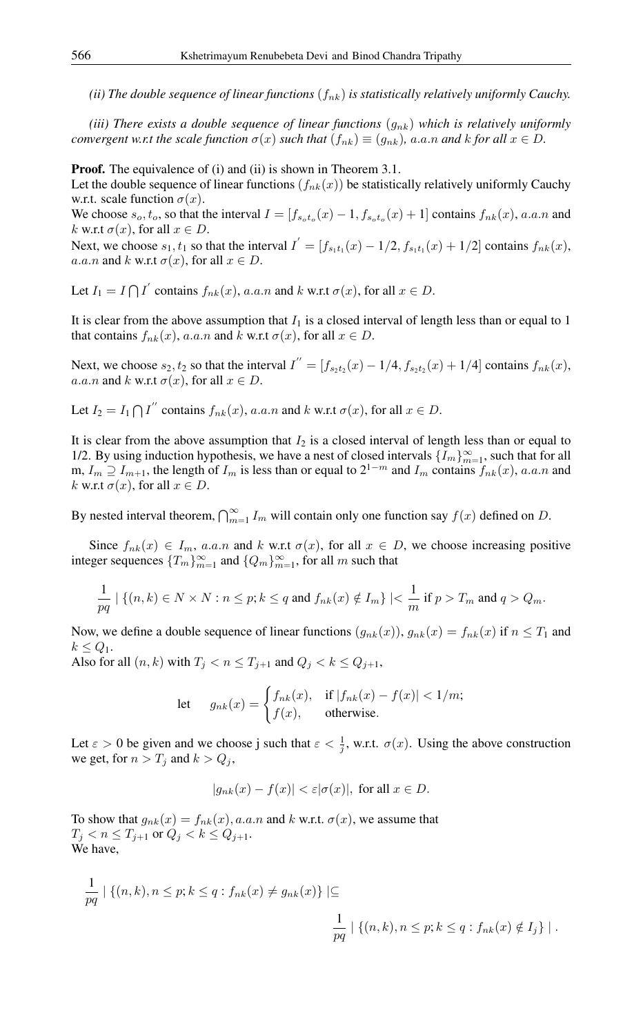*(ii) The double sequence of linear functions*  $(f_{nk})$  *is statistically relatively uniformly Cauchy.* 

*(iii) There exists a double sequence of linear functions*  $(q_{nk})$  *which is relatively uniformly convergent w.r.t the scale function*  $\sigma(x)$  *such that*  $(f_{nk}) \equiv (g_{nk})$ *, a.a.n and k for all*  $x \in D$ *.* 

**Proof.** The equivalence of (i) and (ii) is shown in Theorem 3.1.

Let the double sequence of linear functions  $(f_{nk}(x))$  be statistically relatively uniformly Cauchy w.r.t. scale function  $\sigma(x)$ .

We choose  $s_o, t_o$ , so that the interval  $I = [f_{s_o t_o}(x) - 1, f_{s_o t_o}(x) + 1]$  contains  $f_{nk}(x)$ , a.a.n and k w.r.t  $\sigma(x)$ , for all  $x \in D$ .

Next, we choose  $s_1, t_1$  so that the interval  $I' = [f_{s_1t_1}(x) - 1/2, f_{s_1t_1}(x) + 1/2]$  contains  $f_{nk}(x)$ , a.a.n and k w.r.t  $\sigma(x)$ , for all  $x \in D$ .

Let  $I_1 = I \bigcap I'$  contains  $f_{nk}(x)$ , a.a.n and k w.r.t  $\sigma(x)$ , for all  $x \in D$ .

It is clear from the above assumption that  $I_1$  is a closed interval of length less than or equal to 1 that contains  $f_{nk}(x)$ , a.a.n and k w.r.t  $\sigma(x)$ , for all  $x \in D$ .

Next, we choose  $s_2, t_2$  so that the interval  $I'' = [f_{s_2t_2}(x) - 1/4, f_{s_2t_2}(x) + 1/4]$  contains  $f_{nk}(x)$ , a.a.n and k w.r.t  $\sigma(x)$ , for all  $x \in D$ .

Let  $I_2 = I_1 \bigcap I''$  contains  $f_{nk}(x)$ , a.a.n and k w.r.t  $\sigma(x)$ , for all  $x \in D$ .

It is clear from the above assumption that  $I_2$  is a closed interval of length less than or equal to 1/2. By using induction hypothesis, we have a nest of closed intervals  $\{I_m\}_{m=1}^{\infty}$ , such that for all m,  $I_m \supseteq I_{m+1}$ , the length of  $I_m$  is less than or equal to  $2^{1-m}$  and  $I_m$  contains  $f_{nk}(x)$ , a.a.n and k w.r.t  $\sigma(x)$ , for all  $x \in D$ .

By nested interval theorem,  $\bigcap_{m=1}^{\infty} I_m$  will contain only one function say  $f(x)$  defined on D.

Since  $f_{nk}(x) \in I_m$ , a.a.n and k w.r.t  $\sigma(x)$ , for all  $x \in D$ , we choose increasing positive integer sequences  ${T_m}_{m=1}^{\infty}$  and  ${Q_m}_{m=1}^{\infty}$ , for all m such that

$$
\frac{1}{pq} \mid \{(n,k) \in N \times N : n \leq p; k \leq q \text{ and } f_{nk}(x) \notin I_m\} \mid < \frac{1}{m} \text{ if } p > T_m \text{ and } q > Q_m.
$$

Now, we define a double sequence of linear functions  $(g_{nk}(x)), g_{nk}(x) = f_{nk}(x)$  if  $n \leq T_1$  and  $k \leq Q_1$ .

Also for all  $(n, k)$  with  $T_j < n \leq T_{j+1}$  and  $Q_j < k \leq Q_{j+1}$ ,

let 
$$
g_{nk}(x) = \begin{cases} f_{nk}(x), & \text{if } |f_{nk}(x) - f(x)| < 1/m; \\ f(x), & \text{otherwise.} \end{cases}
$$

Let  $\varepsilon > 0$  be given and we choose j such that  $\varepsilon < \frac{1}{j}$ , w.r.t.  $\sigma(x)$ . Using the above construction we get, for  $n > T_i$  and  $k > Q_i$ ,

$$
|g_{nk}(x) - f(x)| < \varepsilon |\sigma(x)|, \text{ for all } x \in D.
$$

To show that  $g_{nk}(x) = f_{nk}(x)$ , a.a.n and k w.r.t.  $\sigma(x)$ , we assume that  $T_j < n \leq T_{j+1}$  or  $Q_j < k \leq Q_{j+1}$ . We have,

$$
\frac{1}{pq} | \{ (n,k), n \le p; k \le q : f_{nk}(x) \ne g_{nk}(x) \} | \subseteq
$$
  

$$
\frac{1}{pq} | \{ (n,k), n \le p; k \le q : f_{nk}(x) \notin I_j \} |.
$$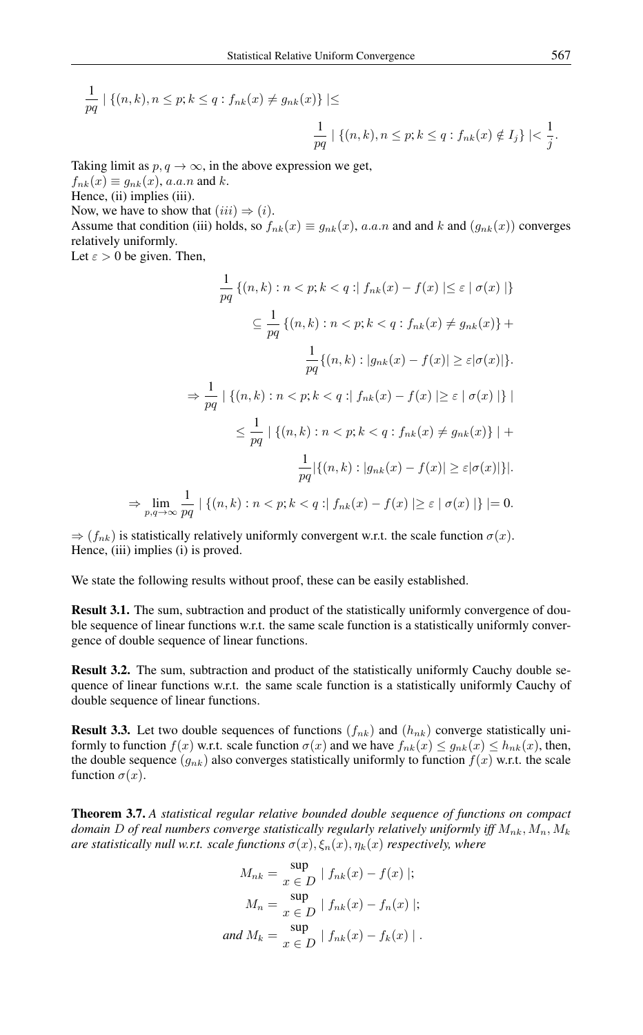$$
\frac{1}{pq} \mid \{(n,k), n \le p; k \le q : f_{nk}(x) \ne g_{nk}(x)\} \mid \le \frac{1}{pq} \mid \{(n,k), n \le p; k \le q : f_{nk}(x) \notin I_j\} \mid \le \frac{1}{j}
$$

Taking limit as  $p, q \rightarrow \infty$ , in the above expression we get,

 $f_{nk}(x) \equiv g_{nk}(x)$ , a.a.n and k.

Hence, (ii) implies (iii).

Now, we have to show that  $(iii) \Rightarrow (i)$ .

Assume that condition (iii) holds, so  $f_{nk}(x) \equiv g_{nk}(x)$ , a.a.n and and k and  $(g_{nk}(x))$  converges relatively uniformly.

Let  $\varepsilon > 0$  be given. Then,

 $\Rightarrow$ 

$$
\frac{1}{pq} \{(n,k) : n < p; k < q : | f_{nk}(x) - f(x) | \le \varepsilon \mid \sigma(x) | \}
$$
\n
$$
\subseteq \frac{1}{pq} \{(n,k) : n < p; k < q : f_{nk}(x) \ne g_{nk}(x) \} +
$$
\n
$$
\frac{1}{pq} \{(n,k) : |g_{nk}(x) - f(x)| \ge \varepsilon | \sigma(x) | \}.
$$
\n
$$
\Rightarrow \frac{1}{pq} | \{(n,k) : n < p; k < q : | f_{nk}(x) - f(x) | \ge \varepsilon \mid \sigma(x) | \} |
$$
\n
$$
\le \frac{1}{pq} | \{(n,k) : n < p; k < q : f_{nk}(x) \ne g_{nk}(x) \} | +
$$
\n
$$
\frac{1}{pq} | \{(n,k) : |g_{nk}(x) - f(x) | \ge \varepsilon | \sigma(x) | \} |.
$$
\n
$$
\lim_{p,q \to \infty} \frac{1}{pq} | \{(n,k) : n < p; k < q : | f_{nk}(x) - f(x) | \ge \varepsilon | \sigma(x) | \} | = 0.
$$

 $\Rightarrow$   $(f_{nk})$  is statistically relatively uniformly convergent w.r.t. the scale function  $\sigma(x)$ . Hence, (iii) implies (i) is proved.

We state the following results without proof, these can be easily established.

Result 3.1. The sum, subtraction and product of the statistically uniformly convergence of double sequence of linear functions w.r.t. the same scale function is a statistically uniformly convergence of double sequence of linear functions.

Result 3.2. The sum, subtraction and product of the statistically uniformly Cauchy double sequence of linear functions w.r.t. the same scale function is a statistically uniformly Cauchy of double sequence of linear functions.

**Result 3.3.** Let two double sequences of functions  $(f_{nk})$  and  $(h_{nk})$  converge statistically uniformly to function  $f(x)$  w.r.t. scale function  $\sigma(x)$  and we have  $f_{nk}(x) \leq g_{nk}(x) \leq h_{nk}(x)$ , then, the double sequence  $(g_{nk})$  also converges statistically uniformly to function  $f(x)$  w.r.t. the scale function  $\sigma(x)$ .

Theorem 3.7. *A statistical regular relative bounded double sequence of functions on compact domain* D of real numbers converge statistically regularly relatively uniformly iff  $M_{nk}$ ,  $M_n$ ,  $M_k$ *are statistically null w.r.t. scale functions*  $\sigma(x)$ ,  $\xi_n(x)$ ,  $\eta_k(x)$  *respectively, where* 

$$
M_{nk} = \frac{\sup}{x \in D} |f_{nk}(x) - f(x)|;
$$
  
\n
$$
M_n = \frac{\sup}{x \in D} |f_{nk}(x) - f_n(x)|;
$$
  
\nand 
$$
M_k = \frac{\sup}{x \in D} |f_{nk}(x) - f_k(x)|.
$$

.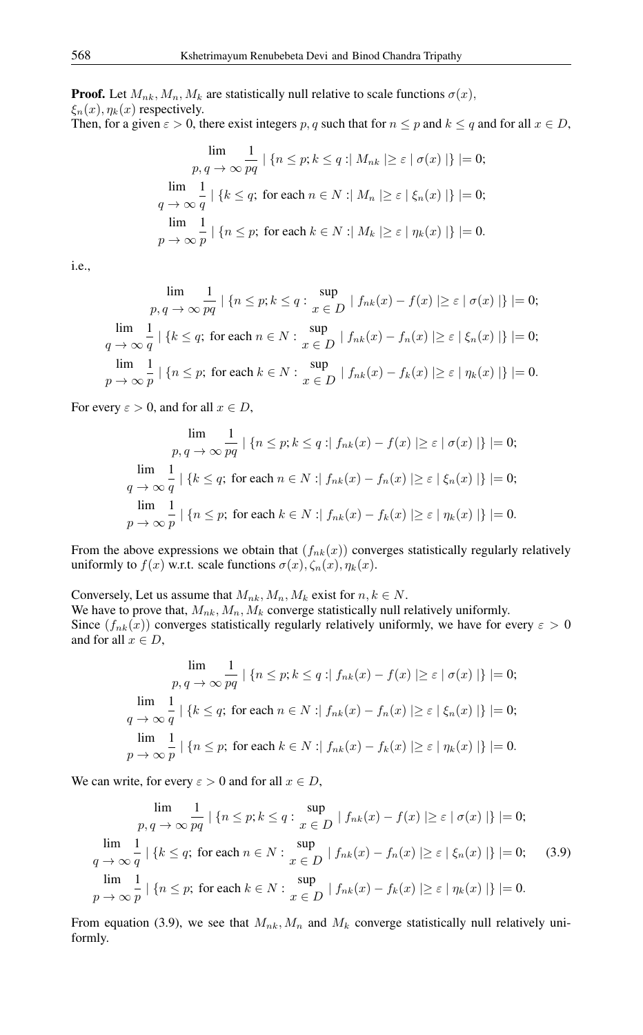**Proof.** Let  $M_{nk}$ ,  $M_n$ ,  $M_k$  are statistically null relative to scale functions  $\sigma(x)$ ,  $\xi_n(x), \eta_k(x)$  respectively.<br>Then, for a given  $\varepsilon > 0$  then Then are  $m$  a such that for  $n \le n$  and  $k \le a$  and for all  $x \in D$ ,

Then, for a given 
$$
\varepsilon > 0
$$
, there exist integers p, q such that for  $n \leq p$  and  $\kappa \leq q$  and for all  $x \in D$ 

$$
\lim_{p, q \to \infty} \frac{1}{pq} \mid \{n \le p; k \le q : |M_{nk}| \ge \varepsilon \mid \sigma(x) \mid\} \mid = 0;
$$
\n
$$
\lim_{q \to \infty} \frac{1}{q} \mid \{k \le q; \text{ for each } n \in N : |M_n| \ge \varepsilon \mid \xi_n(x) \mid\} \mid = 0;
$$
\n
$$
\lim_{p \to \infty} \frac{1}{p} \mid \{n \le p; \text{ for each } k \in N : |M_k| \ge \varepsilon \mid \eta_k(x) \mid\} \mid = 0.
$$

i.e.,

$$
\lim_{p, q \to \infty} \frac{1}{pq} \mid \{n \le p; k \le q : \sup_{x \in D} |f_{nk}(x) - f(x)| \ge \varepsilon \mid \sigma(x) | \} \mid = 0;
$$
\n
$$
\lim_{q \to \infty} \frac{1}{q} \mid \{k \le q; \text{ for each } n \in N : \sup_{x \in D} |f_{nk}(x) - f_n(x)| \ge \varepsilon \mid \xi_n(x) | \} \mid = 0;
$$
\n
$$
\lim_{p \to \infty} \frac{1}{p} \mid \{n \le p; \text{ for each } k \in N : \sup_{x \in D} |f_{nk}(x) - f_k(x)| \ge \varepsilon \mid \eta_k(x) | \} \mid = 0.
$$

For every  $\varepsilon > 0$ , and for all  $x \in D$ ,

$$
\lim_{p, q \to \infty} \frac{1}{pq} \mid \{n \le p; k \le q : |f_{nk}(x) - f(x)| \ge \varepsilon \mid \sigma(x) \mid\} \mid = 0;
$$
\n
$$
\lim_{q \to \infty} \frac{1}{q} \mid \{k \le q; \text{ for each } n \in N : |f_{nk}(x) - f_n(x)| \ge \varepsilon \mid \xi_n(x) \mid\} \mid = 0;
$$
\n
$$
\lim_{p \to \infty} \frac{1}{p} \mid \{n \le p; \text{ for each } k \in N : |f_{nk}(x) - f_k(x)| \ge \varepsilon \mid \eta_k(x) \mid\} \mid = 0.
$$

From the above expressions we obtain that  $(f_{nk}(x))$  converges statistically regularly relatively uniformly to  $f(x)$  w.r.t. scale functions  $\sigma(x)$ ,  $\zeta_n(x)$ ,  $\eta_k(x)$ .

Conversely, Let us assume that  $M_{nk}$ ,  $M_n$ ,  $M_k$  exist for  $n, k \in N$ . We have to prove that,  $M_{nk}$ ,  $M_n$ ,  $M_k$  converge statistically null relatively uniformly. Since  $(f_{nk}(x))$  converges statistically regularly relatively uniformly, we have for every  $\varepsilon > 0$ and for all  $x \in D$ ,

$$
\lim_{p,q \to \infty} \frac{1}{pq} \mid \{n \le p; k \le q : |f_{nk}(x) - f(x)| \ge \varepsilon \mid \sigma(x) \mid\} \mid = 0;
$$
\n
$$
\lim_{q \to \infty} \frac{1}{q} \mid \{k \le q; \text{ for each } n \in N : |f_{nk}(x) - f_n(x)| \ge \varepsilon \mid \xi_n(x) \mid\} \mid = 0;
$$
\n
$$
\lim_{p \to \infty} \frac{1}{p} \mid \{n \le p; \text{ for each } k \in N : |f_{nk}(x) - f_k(x)| \ge \varepsilon \mid \eta_k(x) \mid\} \mid = 0.
$$

We can write, for every  $\varepsilon > 0$  and for all  $x \in D$ ,

$$
\lim_{p,q \to \infty} \frac{1}{pq} \mid \{n \le p; k \le q : \sup_{x \in D} |f_{nk}(x) - f(x)| \ge \varepsilon \mid \sigma(x) | \} \mid = 0;
$$
\n
$$
\lim_{q \to \infty} \frac{1}{q} \mid \{k \le q; \text{ for each } n \in N : \sup_{x \in D} |f_{nk}(x) - f_n(x)| \ge \varepsilon \mid \xi_n(x) | \} \mid = 0; \quad (3.9)
$$
\n
$$
\lim_{p \to \infty} \frac{1}{p} \mid \{n \le p; \text{ for each } k \in N : \sup_{x \in D} |f_{nk}(x) - f_k(x)| \ge \varepsilon \mid \eta_k(x) | \} \mid = 0.
$$

From equation (3.9), we see that  $M_{nk}$ ,  $M_n$  and  $M_k$  converge statistically null relatively uniformly.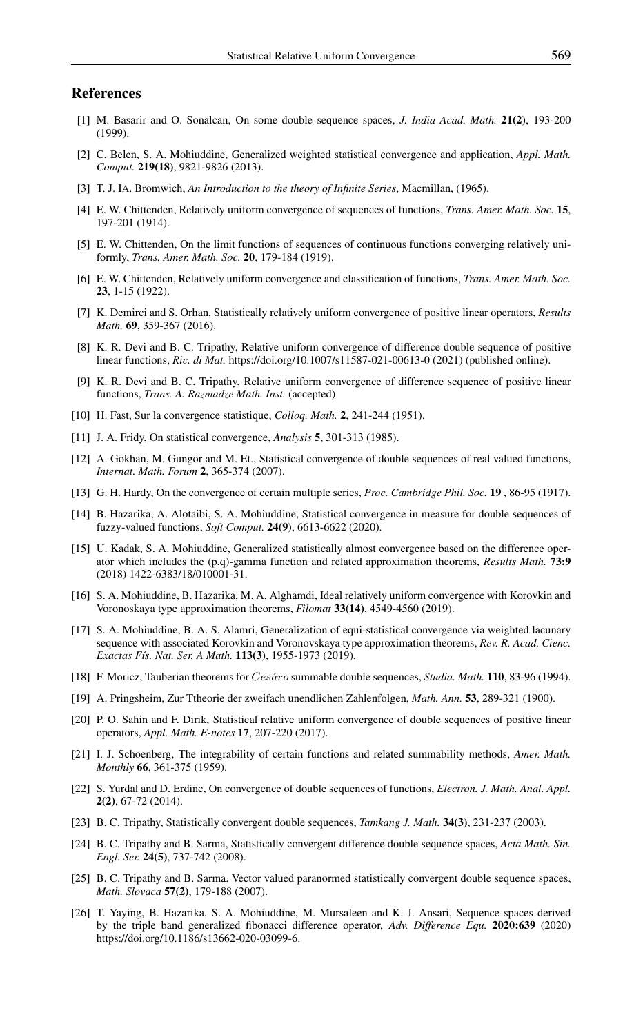#### <span id="page-11-0"></span>References

- <span id="page-11-7"></span>[1] M. Basarir and O. Sonalcan, On some double sequence spaces, *J. India Acad. Math.* 21(2), 193-200 (1999).
- <span id="page-11-18"></span>[2] C. Belen, S. A. Mohiuddine, Generalized weighted statistical convergence and application, *Appl. Math. Comput.* 219(18), 9821-9826 (2013).
- <span id="page-11-4"></span>[3] T. J. IA. Bromwich, *An Introduction to the theory of Infinite Series*, Macmillan, (1965).
- <span id="page-11-20"></span>[4] E. W. Chittenden, Relatively uniform convergence of sequences of functions, *Trans. Amer. Math. Soc.* 15, 197-201 (1914).
- <span id="page-11-21"></span>[5] E. W. Chittenden, On the limit functions of sequences of continuous functions converging relatively uniformly, *Trans. Amer. Math. Soc.* 20, 179-184 (1919).
- <span id="page-11-22"></span>[6] E. W. Chittenden, Relatively uniform convergence and classification of functions, *Trans. Amer. Math. Soc.* 23, 1-15 (1922).
- <span id="page-11-23"></span>[7] K. Demirci and S. Orhan, Statistically relatively uniform convergence of positive linear operators, *Results Math.* 69, 359-367 (2016).
- <span id="page-11-24"></span>[8] K. R. Devi and B. C. Tripathy, Relative uniform convergence of difference double sequence of positive linear functions, *Ric. di Mat.* https://doi.org/10.1007/s11587-021-00613-0 (2021) (published online).
- <span id="page-11-2"></span>[9] K. R. Devi and B. C. Tripathy, Relative uniform convergence of difference sequence of positive linear functions, *Trans. A. Razmadze Math. Inst.* (accepted)
- <span id="page-11-10"></span>[10] H. Fast, Sur la convergence statistique, *Colloq. Math.* 2, 241-244 (1951).
- <span id="page-11-12"></span>[11] J. A. Fridy, On statistical convergence, *Analysis* 5, 301-313 (1985).
- <span id="page-11-13"></span>[12] A. Gokhan, M. Gungor and M. Et., Statistical convergence of double sequences of real valued functions, *Internat. Math. Forum* 2, 365-374 (2007).
- <span id="page-11-5"></span>[13] G. H. Hardy, On the convergence of certain multiple series, *Proc. Cambridge Phil. Soc.* 19 , 86-95 (1917).
- <span id="page-11-19"></span>[14] B. Hazarika, A. Alotaibi, S. A. Mohiuddine, Statistical convergence in measure for double sequences of fuzzy-valued functions, *Soft Comput.* 24(9), 6613-6622 (2020).
- <span id="page-11-17"></span>[15] U. Kadak, S. A. Mohiuddine, Generalized statistically almost convergence based on the difference operator which includes the (p,q)-gamma function and related approximation theorems, *Results Math.* 73:9 (2018) 1422-6383/18/010001-31.
- <span id="page-11-25"></span>[16] S. A. Mohiuddine, B. Hazarika, M. A. Alghamdi, Ideal relatively uniform convergence with Korovkin and Voronoskaya type approximation theorems, *Filomat* 33(14), 4549-4560 (2019).
- <span id="page-11-16"></span>[17] S. A. Mohiuddine, B. A. S. Alamri, Generalization of equi-statistical convergence via weighted lacunary sequence with associated Korovkin and Voronovskaya type approximation theorems, *Rev. R. Acad. Cienc. Exactas Fís. Nat. Ser. A Math.* 113(3), 1955-1973 (2019).
- <span id="page-11-6"></span>[18] F. Moricz, Tauberian theorems for Cesáro summable double sequences, *Studia. Math.* 110, 83-96 (1994).
- <span id="page-11-3"></span>[19] A. Pringsheim, Zur Ttheorie der zweifach unendlichen Zahlenfolgen, *Math. Ann.* 53, 289-321 (1900).
- <span id="page-11-26"></span>[20] P. O. Sahin and F. Dirik, Statistical relative uniform convergence of double sequences of positive linear operators, *Appl. Math. E-notes* 17, 207-220 (2017).
- <span id="page-11-11"></span>[21] I. J. Schoenberg, The integrability of certain functions and related summability methods, *Amer. Math. Monthly* 66, 361-375 (1959).
- <span id="page-11-9"></span>[22] S. Yurdal and D. Erdinc, On convergence of double sequences of functions, *Electron. J. Math. Anal. Appl.* 2(2), 67-72 (2014).
- <span id="page-11-14"></span>[23] B. C. Tripathy, Statistically convergent double sequences, *Tamkang J. Math.* 34(3), 231-237 (2003).
- <span id="page-11-15"></span>[24] B. C. Tripathy and B. Sarma, Statistically convergent difference double sequence spaces, *Acta Math. Sin. Engl. Ser.* 24(5), 737-742 (2008).
- <span id="page-11-8"></span>[25] B. C. Tripathy and B. Sarma, Vector valued paranormed statistically convergent double sequence spaces, *Math. Slovaca* 57(2), 179-188 (2007).
- <span id="page-11-1"></span>[26] T. Yaying, B. Hazarika, S. A. Mohiuddine, M. Mursaleen and K. J. Ansari, Sequence spaces derived by the triple band generalized fibonacci difference operator, *Adv. Difference Equ.* 2020:639 (2020) https://doi.org/10.1186/s13662-020-03099-6.